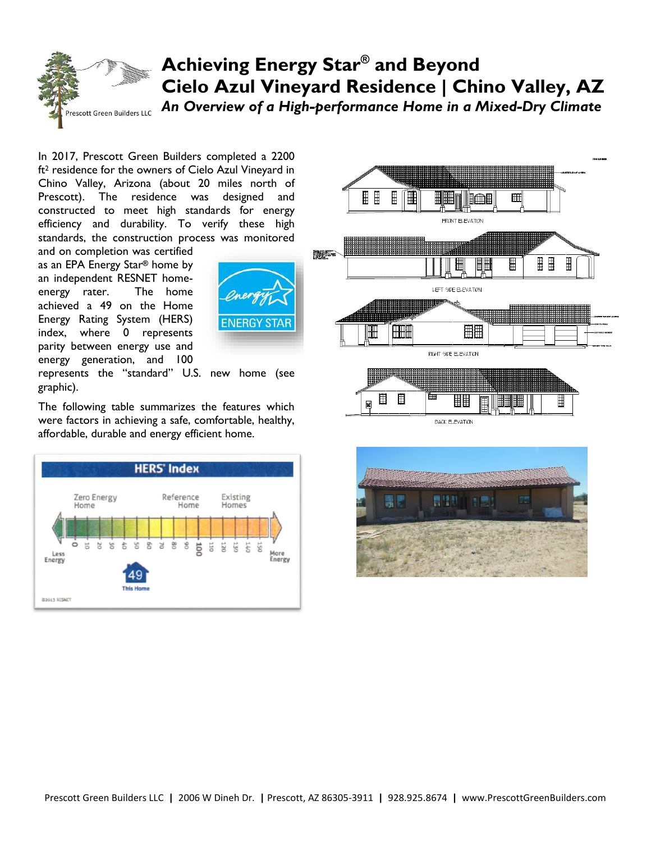## **Achieving Energy Star® and Beyond Cielo Azul Vineyard Residence | Chino Valley, AZ** *An Overview of a High-performance Home in a Mixed-Dry Climate* escott Green Builders LLC

In 2017, Prescott Green Builders completed a 2200 ft<sup>2</sup> residence for the owners of Cielo Azul Vineyard in Chino Valley, Arizona (about 20 miles north of Prescott). The residence was designed and constructed to meet high standards for energy efficiency and durability. To verify these high standards, the construction process was monitored

and on completion was certified as an EPA Energy Star**®** home by an independent RESNET homeenergy rater. The home achieved a 49 on the Home Energy Rating System (HERS) index, where 0 represents parity between energy use and energy generation, and 100



represents the "standard" U.S. new home (see graphic).

The following table summarizes the features which were factors in achieving a safe, comfortable, healthy, affordable, durable and energy efficient home.







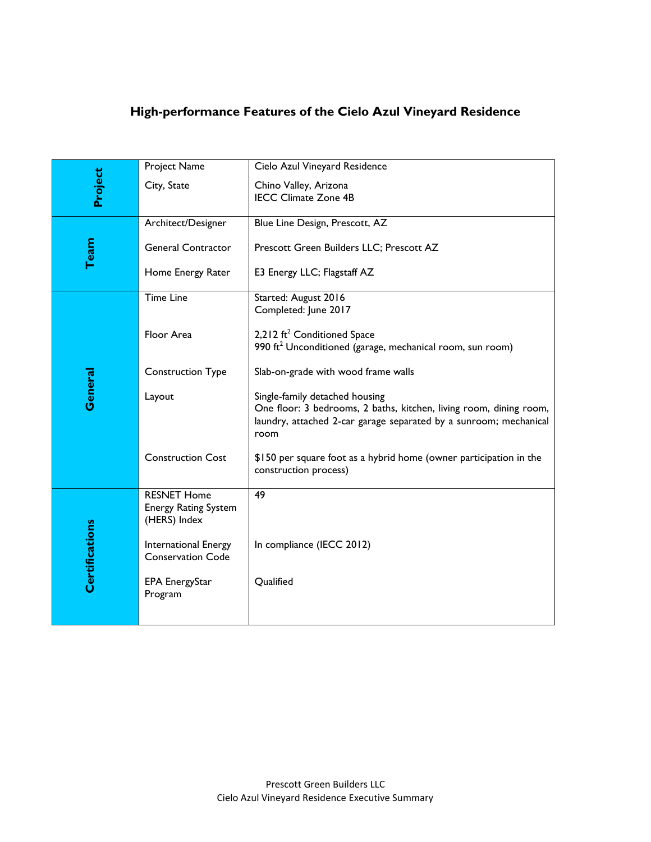## **High-performance Features of the Cielo Azul Vineyard Residence**

| Project               | Project Name                                                      | Cielo Azul Vineyard Residence                                                                                                                                                     |
|-----------------------|-------------------------------------------------------------------|-----------------------------------------------------------------------------------------------------------------------------------------------------------------------------------|
|                       | City, State                                                       | Chino Valley, Arizona<br><b>IECC Climate Zone 4B</b>                                                                                                                              |
| Team                  | Architect/Designer                                                | Blue Line Design, Prescott, AZ                                                                                                                                                    |
|                       | <b>General Contractor</b>                                         | Prescott Green Builders LLC; Prescott AZ                                                                                                                                          |
|                       | Home Energy Rater                                                 | E3 Energy LLC; Flagstaff AZ                                                                                                                                                       |
| General               | <b>Time Line</b>                                                  | Started: August 2016<br>Completed: June 2017                                                                                                                                      |
|                       | Floor Area                                                        | 2,212 ft <sup>2</sup> Conditioned Space<br>990 ft <sup>2</sup> Unconditioned (garage, mechanical room, sun room)                                                                  |
|                       | <b>Construction Type</b>                                          | Slab-on-grade with wood frame walls                                                                                                                                               |
|                       | Layout                                                            | Single-family detached housing<br>One floor: 3 bedrooms, 2 baths, kitchen, living room, dining room,<br>laundry, attached 2-car garage separated by a sunroom; mechanical<br>room |
|                       | <b>Construction Cost</b>                                          | \$150 per square foot as a hybrid home (owner participation in the<br>construction process)                                                                                       |
| <b>Certifications</b> | <b>RESNET Home</b><br><b>Energy Rating System</b><br>(HERS) Index | 49                                                                                                                                                                                |
|                       | International Energy<br><b>Conservation Code</b>                  | In compliance (IECC 2012)                                                                                                                                                         |
|                       | EPA EnergyStar<br>Program                                         | Qualified                                                                                                                                                                         |
|                       |                                                                   |                                                                                                                                                                                   |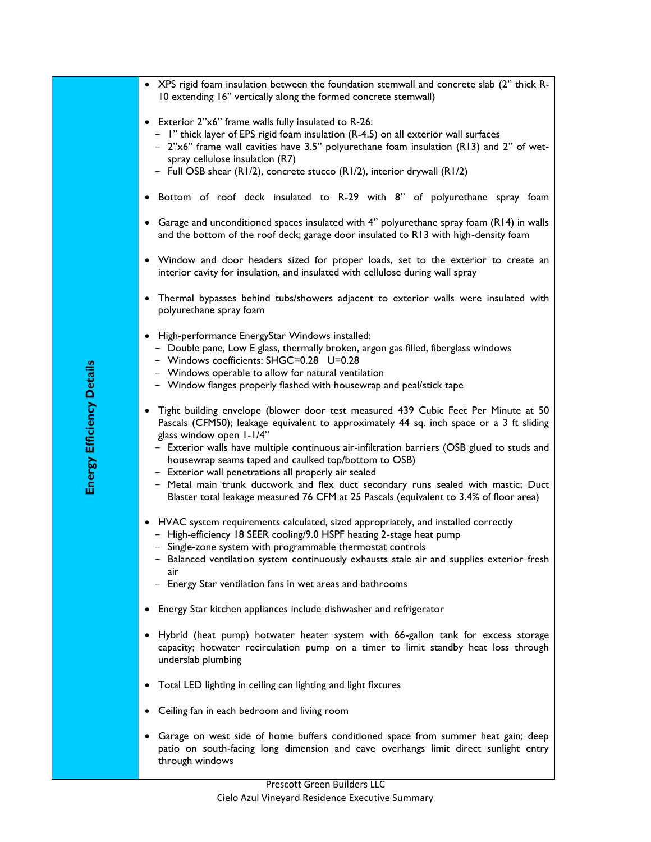| • XPS rigid foam insulation between the foundation stemwall and concrete slab (2" thick R-<br>10 extending 16" vertically along the formed concrete stemwall)                                                                                                                                                                                                                                                                                                                                                                                                                                              |
|------------------------------------------------------------------------------------------------------------------------------------------------------------------------------------------------------------------------------------------------------------------------------------------------------------------------------------------------------------------------------------------------------------------------------------------------------------------------------------------------------------------------------------------------------------------------------------------------------------|
| • Exterior 2"x6" frame walls fully insulated to R-26:<br>- I" thick layer of EPS rigid foam insulation (R-4.5) on all exterior wall surfaces<br>- 2"x6" frame wall cavities have 3.5" polyurethane foam insulation (R13) and 2" of wet-<br>spray cellulose insulation (R7)<br>- Full OSB shear (R1/2), concrete stucco (R1/2), interior drywall (R1/2)                                                                                                                                                                                                                                                     |
| . Bottom of roof deck insulated to R-29 with 8" of polyurethane spray foam                                                                                                                                                                                                                                                                                                                                                                                                                                                                                                                                 |
| • Garage and unconditioned spaces insulated with 4" polyurethane spray foam (R14) in walls<br>and the bottom of the roof deck; garage door insulated to R13 with high-density foam                                                                                                                                                                                                                                                                                                                                                                                                                         |
| • Window and door headers sized for proper loads, set to the exterior to create an<br>interior cavity for insulation, and insulated with cellulose during wall spray                                                                                                                                                                                                                                                                                                                                                                                                                                       |
| • Thermal bypasses behind tubs/showers adjacent to exterior walls were insulated with<br>polyurethane spray foam                                                                                                                                                                                                                                                                                                                                                                                                                                                                                           |
| • High-performance EnergyStar Windows installed:<br>- Double pane, Low E glass, thermally broken, argon gas filled, fiberglass windows<br>- Windows coefficients: SHGC=0.28 U=0.28<br>- Windows operable to allow for natural ventilation<br>- Window flanges properly flashed with housewrap and peal/stick tape                                                                                                                                                                                                                                                                                          |
| • Tight building envelope (blower door test measured 439 Cubic Feet Per Minute at 50<br>Pascals (CFM50); leakage equivalent to approximately 44 sq. inch space or a 3 ft sliding<br>glass window open I-I/4"<br>- Exterior walls have multiple continuous air-infiltration barriers (OSB glued to studs and<br>housewrap seams taped and caulked top/bottom to OSB)<br>- Exterior wall penetrations all properly air sealed<br>- Metal main trunk ductwork and flex duct secondary runs sealed with mastic; Duct<br>Blaster total leakage measured 76 CFM at 25 Pascals (equivalent to 3.4% of floor area) |
| • HVAC system requirements calculated, sized appropriately, and installed correctly<br>- High-efficiency 18 SEER cooling/9.0 HSPF heating 2-stage heat pump<br>- Single-zone system with programmable thermostat controls<br>- Balanced ventilation system continuously exhausts stale air and supplies exterior fresh<br>air                                                                                                                                                                                                                                                                              |
| - Energy Star ventilation fans in wet areas and bathrooms                                                                                                                                                                                                                                                                                                                                                                                                                                                                                                                                                  |
| Energy Star kitchen appliances include dishwasher and refrigerator                                                                                                                                                                                                                                                                                                                                                                                                                                                                                                                                         |
| Hybrid (heat pump) hotwater heater system with 66-gallon tank for excess storage<br>capacity; hotwater recirculation pump on a timer to limit standby heat loss through<br>underslab plumbing                                                                                                                                                                                                                                                                                                                                                                                                              |
| Total LED lighting in ceiling can lighting and light fixtures<br>$\bullet$                                                                                                                                                                                                                                                                                                                                                                                                                                                                                                                                 |
| Ceiling fan in each bedroom and living room<br>٠                                                                                                                                                                                                                                                                                                                                                                                                                                                                                                                                                           |
| Garage on west side of home buffers conditioned space from summer heat gain; deep<br>٠<br>patio on south-facing long dimension and eave overhangs limit direct sunlight entry<br>through windows                                                                                                                                                                                                                                                                                                                                                                                                           |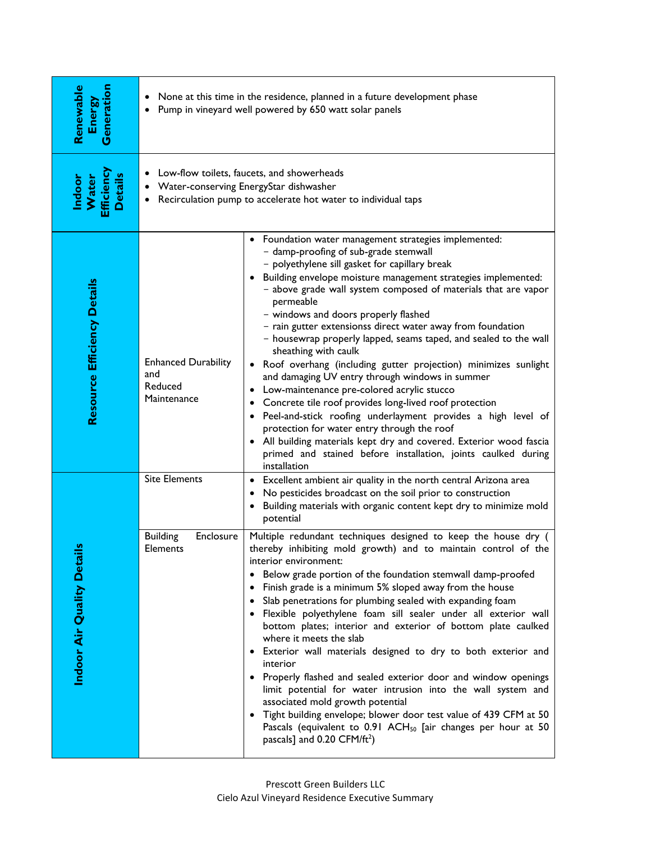| Generation<br>Renewable<br>Energy              | None at this time in the residence, planned in a future development phase<br>$\bullet$<br>Pump in vineyard well powered by 650 watt solar panels<br>$\bullet$ |                                                                                                                                                                                                                                                                                                                                                                                                                                                                                                                                                                                                                                                                                                                                                                                                                                                                                                                                                                                                                      |  |
|------------------------------------------------|---------------------------------------------------------------------------------------------------------------------------------------------------------------|----------------------------------------------------------------------------------------------------------------------------------------------------------------------------------------------------------------------------------------------------------------------------------------------------------------------------------------------------------------------------------------------------------------------------------------------------------------------------------------------------------------------------------------------------------------------------------------------------------------------------------------------------------------------------------------------------------------------------------------------------------------------------------------------------------------------------------------------------------------------------------------------------------------------------------------------------------------------------------------------------------------------|--|
| Efficiency<br><b>Details</b><br>Water<br>ndoor | Low-flow toilets, faucets, and showerheads<br>• Water-conserving EnergyStar dishwasher<br>Recirculation pump to accelerate hot water to individual taps       |                                                                                                                                                                                                                                                                                                                                                                                                                                                                                                                                                                                                                                                                                                                                                                                                                                                                                                                                                                                                                      |  |
| <b>Resource Efficiency Details</b>             | <b>Enhanced Durability</b><br>and<br>Reduced<br>Maintenance                                                                                                   | Foundation water management strategies implemented:<br>- damp-proofing of sub-grade stemwall<br>- polyethylene sill gasket for capillary break<br>• Building envelope moisture management strategies implemented:<br>- above grade wall system composed of materials that are vapor<br>permeable<br>- windows and doors properly flashed<br>- rain gutter extensionss direct water away from foundation<br>- housewrap properly lapped, seams taped, and sealed to the wall<br>sheathing with caulk<br>Roof overhang (including gutter projection) minimizes sunlight<br>and damaging UV entry through windows in summer<br>Low-maintenance pre-colored acrylic stucco<br>Concrete tile roof provides long-lived roof protection<br>Peel-and-stick roofing underlayment provides a high level of<br>$\bullet$<br>protection for water entry through the roof<br>• All building materials kept dry and covered. Exterior wood fascia<br>primed and stained before installation, joints caulked during<br>installation |  |
|                                                | <b>Site Elements</b>                                                                                                                                          | Excellent ambient air quality in the north central Arizona area<br>$\bullet$<br>No pesticides broadcast on the soil prior to construction<br>Building materials with organic content kept dry to minimize mold<br>potential                                                                                                                                                                                                                                                                                                                                                                                                                                                                                                                                                                                                                                                                                                                                                                                          |  |
| ÷<br>Indoor Air Quality Deta                   | <b>Building</b><br>Enclosure<br>Elements                                                                                                                      | Multiple redundant techniques designed to keep the house dry (<br>thereby inhibiting mold growth) and to maintain control of the<br>interior environment:<br>Below grade portion of the foundation stemwall damp-proofed<br>Finish grade is a minimum 5% sloped away from the house<br>Slab penetrations for plumbing sealed with expanding foam<br>· Flexible polyethylene foam sill sealer under all exterior wall<br>bottom plates; interior and exterior of bottom plate caulked<br>where it meets the slab<br>• Exterior wall materials designed to dry to both exterior and<br>interior<br>• Properly flashed and sealed exterior door and window openings<br>limit potential for water intrusion into the wall system and<br>associated mold growth potential<br>Tight building envelope; blower door test value of 439 CFM at 50<br>Pascals (equivalent to 0.91 ACH <sub>50</sub> [air changes per hour at 50<br>pascals] and $0.20$ CFM/ft <sup>2</sup> )                                                   |  |